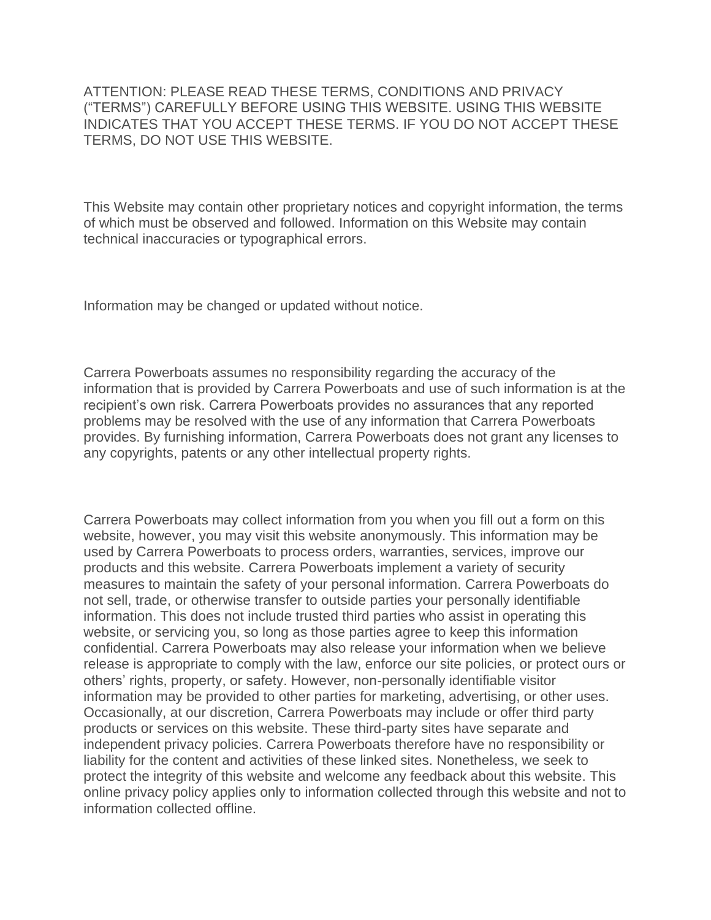ATTENTION: PLEASE READ THESE TERMS, CONDITIONS AND PRIVACY ("TERMS") CAREFULLY BEFORE USING THIS WEBSITE. USING THIS WEBSITE INDICATES THAT YOU ACCEPT THESE TERMS. IF YOU DO NOT ACCEPT THESE TERMS, DO NOT USE THIS WEBSITE.

This Website may contain other proprietary notices and copyright information, the terms of which must be observed and followed. Information on this Website may contain technical inaccuracies or typographical errors.

Information may be changed or updated without notice.

Carrera Powerboats assumes no responsibility regarding the accuracy of the information that is provided by Carrera Powerboats and use of such information is at the recipient's own risk. Carrera Powerboats provides no assurances that any reported problems may be resolved with the use of any information that Carrera Powerboats provides. By furnishing information, Carrera Powerboats does not grant any licenses to any copyrights, patents or any other intellectual property rights.

Carrera Powerboats may collect information from you when you fill out a form on this website, however, you may visit this website anonymously. This information may be used by Carrera Powerboats to process orders, warranties, services, improve our products and this website. Carrera Powerboats implement a variety of security measures to maintain the safety of your personal information. Carrera Powerboats do not sell, trade, or otherwise transfer to outside parties your personally identifiable information. This does not include trusted third parties who assist in operating this website, or servicing you, so long as those parties agree to keep this information confidential. Carrera Powerboats may also release your information when we believe release is appropriate to comply with the law, enforce our site policies, or protect ours or others' rights, property, or safety. However, non-personally identifiable visitor information may be provided to other parties for marketing, advertising, or other uses. Occasionally, at our discretion, Carrera Powerboats may include or offer third party products or services on this website. These third-party sites have separate and independent privacy policies. Carrera Powerboats therefore have no responsibility or liability for the content and activities of these linked sites. Nonetheless, we seek to protect the integrity of this website and welcome any feedback about this website. This online privacy policy applies only to information collected through this website and not to information collected offline.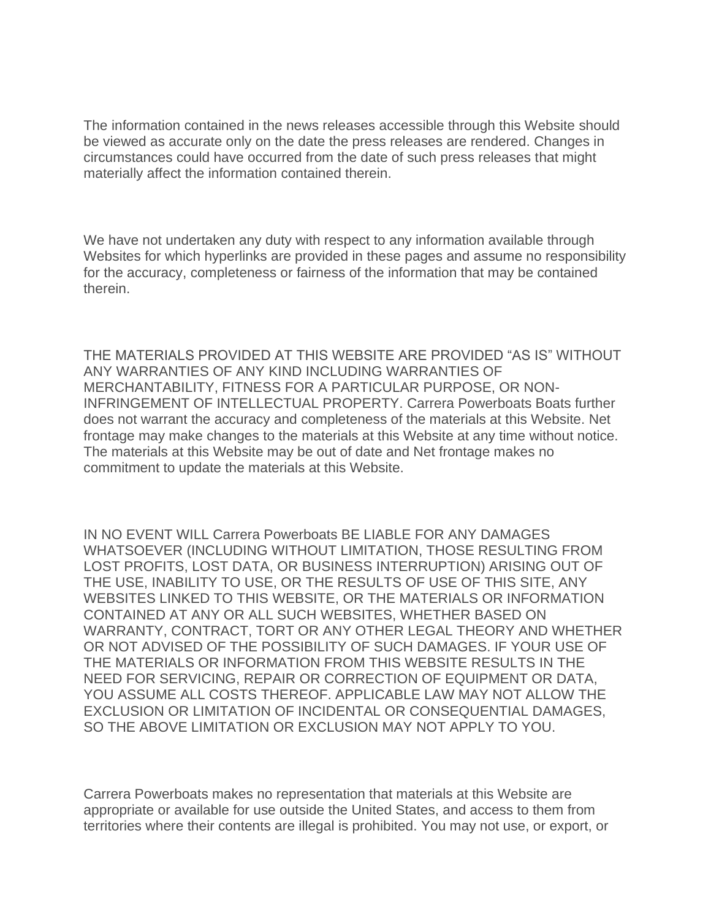The information contained in the news releases accessible through this Website should be viewed as accurate only on the date the press releases are rendered. Changes in circumstances could have occurred from the date of such press releases that might materially affect the information contained therein.

We have not undertaken any duty with respect to any information available through Websites for which hyperlinks are provided in these pages and assume no responsibility for the accuracy, completeness or fairness of the information that may be contained therein.

THE MATERIALS PROVIDED AT THIS WEBSITE ARE PROVIDED "AS IS" WITHOUT ANY WARRANTIES OF ANY KIND INCLUDING WARRANTIES OF MERCHANTABILITY, FITNESS FOR A PARTICULAR PURPOSE, OR NON-INFRINGEMENT OF INTELLECTUAL PROPERTY. Carrera Powerboats Boats further does not warrant the accuracy and completeness of the materials at this Website. Net frontage may make changes to the materials at this Website at any time without notice. The materials at this Website may be out of date and Net frontage makes no commitment to update the materials at this Website.

IN NO EVENT WILL Carrera Powerboats BE LIABLE FOR ANY DAMAGES WHATSOEVER (INCLUDING WITHOUT LIMITATION, THOSE RESULTING FROM LOST PROFITS, LOST DATA, OR BUSINESS INTERRUPTION) ARISING OUT OF THE USE, INABILITY TO USE, OR THE RESULTS OF USE OF THIS SITE, ANY WEBSITES LINKED TO THIS WEBSITE, OR THE MATERIALS OR INFORMATION CONTAINED AT ANY OR ALL SUCH WEBSITES, WHETHER BASED ON WARRANTY, CONTRACT, TORT OR ANY OTHER LEGAL THEORY AND WHETHER OR NOT ADVISED OF THE POSSIBILITY OF SUCH DAMAGES. IF YOUR USE OF THE MATERIALS OR INFORMATION FROM THIS WEBSITE RESULTS IN THE NEED FOR SERVICING, REPAIR OR CORRECTION OF EQUIPMENT OR DATA, YOU ASSUME ALL COSTS THEREOF. APPLICABLE LAW MAY NOT ALLOW THE EXCLUSION OR LIMITATION OF INCIDENTAL OR CONSEQUENTIAL DAMAGES, SO THE ABOVE LIMITATION OR EXCLUSION MAY NOT APPLY TO YOU.

Carrera Powerboats makes no representation that materials at this Website are appropriate or available for use outside the United States, and access to them from territories where their contents are illegal is prohibited. You may not use, or export, or